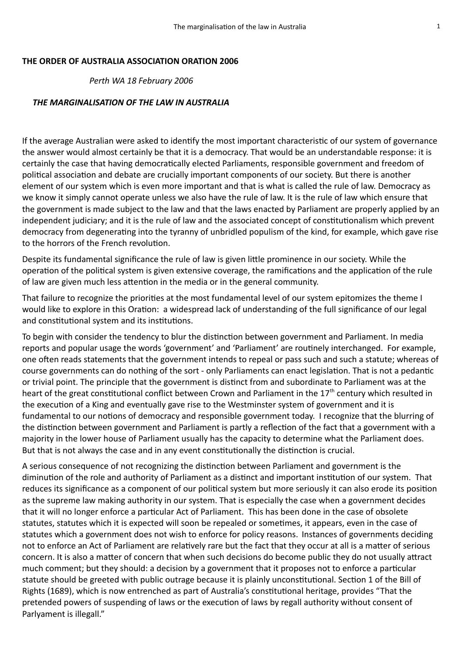## **THE ORDER OF AUSTRALIA ASSOCIATION ORATION 2006**

 *Perth WA 18 February 2006*

## *THE MARGINALISATION OF THE LAW IN AUSTRALIA*

If the average Australian were asked to identify the most important characteristic of our system of governance the answer would almost certainly be that it is a democracy. That would be an understandable response: it is certainly the case that having democratically elected Parliaments, responsible government and freedom of political association and debate are crucially important components of our society. But there is another element of our system which is even more important and that is what is called the rule of law. Democracy as we know it simply cannot operate unless we also have the rule of law. It is the rule of law which ensure that the government is made subject to the law and that the laws enacted by Parliament are properly applied by an independent judiciary; and it is the rule of law and the associated concept of constitutionalism which prevent democracy from degenerating into the tyranny of unbridled populism of the kind, for example, which gave rise to the horrors of the French revolution.

Despite its fundamental significance the rule of law is given little prominence in our society. While the operation of the political system is given extensive coverage, the ramifications and the application of the rule of law are given much less attention in the media or in the general community.

That failure to recognize the priorities at the most fundamental level of our system epitomizes the theme I would like to explore in this Oration: a widespread lack of understanding of the full significance of our legal and constitutional system and its institutions.

To begin with consider the tendency to blur the distinction between government and Parliament. In media reports and popular usage the words 'government' and 'Parliament' are routinely interchanged. For example, one often reads statements that the government intends to repeal or pass such and such a statute; whereas of course governments can do nothing of the sort - only Parliaments can enact legislation. That is not a pedantic or trivial point. The principle that the government is distinct from and subordinate to Parliament was at the heart of the great constitutional conflict between Crown and Parliament in the 17<sup>th</sup> century which resulted in the execution of a King and eventually gave rise to the Westminster system of government and it is fundamental to our notions of democracy and responsible government today. I recognize that the blurring of the distinction between government and Parliament is partly a reflection of the fact that a government with a majority in the lower house of Parliament usually has the capacity to determine what the Parliament does. But that is not always the case and in any event constitutionally the distinction is crucial.

A serious consequence of not recognizing the distinction between Parliament and government is the diminution of the role and authority of Parliament as a distinct and important institution of our system. That reduces its significance as a component of our political system but more seriously it can also erode its position as the supreme law making authority in our system. That is especially the case when a government decides that it will no longer enforce a particular Act of Parliament. This has been done in the case of obsolete statutes, statutes which it is expected will soon be repealed or sometimes, it appears, even in the case of statutes which a government does not wish to enforce for policy reasons. Instances of governments deciding not to enforce an Act of Parliament are relatively rare but the fact that they occur at all is a matter of serious concern. It is also a matter of concern that when such decisions do become public they do not usually attract much comment; but they should: a decision by a government that it proposes not to enforce a particular statute should be greeted with public outrage because it is plainly unconstitutional. Section 1 of the Bill of Rights (1689), which is now entrenched as part of Australia's constitutional heritage, provides "That the pretended powers of suspending of laws or the execution of laws by regall authority without consent of Parlyament is illegall."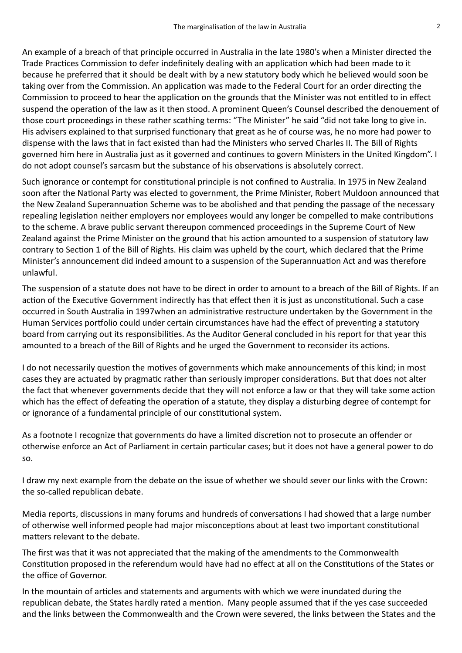An example of a breach of that principle occurred in Australia in the late 1980's when a Minister directed the Trade Practices Commission to defer indefinitely dealing with an application which had been made to it because he preferred that it should be dealt with by a new statutory body which he believed would soon be taking over from the Commission. An application was made to the Federal Court for an order directing the Commission to proceed to hear the application on the grounds that the Minister was not entitled to in effect suspend the operation of the law as it then stood. A prominent Queen's Counsel described the denouement of those court proceedings in these rather scathing terms: "The Minister" he said "did not take long to give in. His advisers explained to that surprised functionary that great as he of course was, he no more had power to dispense with the laws that in fact existed than had the Ministers who served Charles II. The Bill of Rights governed him here in Australia just as it governed and continues to govern Ministers in the United Kingdom". I do not adopt counsel's sarcasm but the substance of his observations is absolutely correct.

Such ignorance or contempt for constitutional principle is not confined to Australia. In 1975 in New Zealand soon after the National Party was elected to government, the Prime Minister, Robert Muldoon announced that the New Zealand Superannuation Scheme was to be abolished and that pending the passage of the necessary repealing legislation neither employers nor employees would any longer be compelled to make contributions to the scheme. A brave public servant thereupon commenced proceedings in the Supreme Court of New Zealand against the Prime Minister on the ground that his action amounted to a suspension of statutory law contrary to Section 1 of the Bill of Rights. His claim was upheld by the court, which declared that the Prime Minister's announcement did indeed amount to a suspension of the Superannuation Act and was therefore unlawful.

The suspension of a statute does not have to be direct in order to amount to a breach of the Bill of Rights. If an action of the Executive Government indirectly has that effect then it is just as unconstitutional. Such a case occurred in South Australia in 1997when an administrative restructure undertaken by the Government in the Human Services portfolio could under certain circumstances have had the effect of preventing a statutory board from carrying out its responsibilities. As the Auditor General concluded in his report for that year this amounted to a breach of the Bill of Rights and he urged the Government to reconsider its actions.

I do not necessarily question the motives of governments which make announcements of this kind; in most cases they are actuated by pragmatic rather than seriously improper considerations. But that does not alter the fact that whenever governments decide that they will not enforce a law or that they will take some action which has the effect of defeating the operation of a statute, they display a disturbing degree of contempt for or ignorance of a fundamental principle of our constitutional system.

As a footnote I recognize that governments do have a limited discretion not to prosecute an offender or otherwise enforce an Act of Parliament in certain particular cases; but it does not have a general power to do so.

I draw my next example from the debate on the issue of whether we should sever our links with the Crown: the so-called republican debate.

Media reports, discussions in many forums and hundreds of conversations I had showed that a large number of otherwise well informed people had major misconceptions about at least two important constitutional matters relevant to the debate.

The first was that it was not appreciated that the making of the amendments to the Commonwealth Constitution proposed in the referendum would have had no effect at all on the Constitutions of the States or the office of Governor.

In the mountain of articles and statements and arguments with which we were inundated during the republican debate, the States hardly rated a mention. Many people assumed that if the yes case succeeded and the links between the Commonwealth and the Crown were severed, the links between the States and the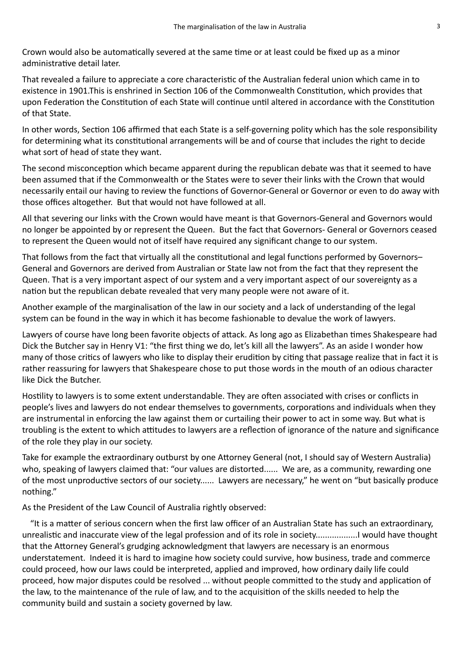Crown would also be automatically severed at the same time or at least could be fixed up as a minor administrative detail later.

That revealed a failure to appreciate a core characteristic of the Australian federal union which came in to existence in 1901.This is enshrined in Section 106 of the Commonwealth Constitution, which provides that upon Federation the Constitution of each State will continue until altered in accordance with the Constitution of that State.

In other words, Section 106 affirmed that each State is a self-governing polity which has the sole responsibility for determining what its constitutional arrangements will be and of course that includes the right to decide what sort of head of state they want.

The second misconception which became apparent during the republican debate was that it seemed to have been assumed that if the Commonwealth or the States were to sever their links with the Crown that would necessarily entail our having to review the functions of Governor-General or Governor or even to do away with those offices altogether. But that would not have followed at all.

All that severing our links with the Crown would have meant is that Governors-General and Governors would no longer be appointed by or represent the Queen. But the fact that Governors- General or Governors ceased to represent the Queen would not of itself have required any significant change to our system.

That follows from the fact that virtually all the constitutional and legal functions performed by Governors– General and Governors are derived from Australian or State law not from the fact that they represent the Queen. That is a very important aspect of our system and a very important aspect of our sovereignty as a nation but the republican debate revealed that very many people were not aware of it.

Another example of the marginalisation of the law in our society and a lack of understanding of the legal system can be found in the way in which it has become fashionable to devalue the work of lawyers.

Lawyers of course have long been favorite objects of attack. As long ago as Elizabethan times Shakespeare had Dick the Butcher say in Henry V1: "the first thing we do, let's kill all the lawyers". As an aside I wonder how many of those critics of lawyers who like to display their erudition by citing that passage realize that in fact it is rather reassuring for lawyers that Shakespeare chose to put those words in the mouth of an odious character like Dick the Butcher.

Hostility to lawyers is to some extent understandable. They are often associated with crises or conflicts in people's lives and lawyers do not endear themselves to governments, corporations and individuals when they are instrumental in enforcing the law against them or curtailing their power to act in some way. But what is troubling is the extent to which attitudes to lawyers are a reflection of ignorance of the nature and significance of the role they play in our society.

Take for example the extraordinary outburst by one Attorney General (not, I should say of Western Australia) who, speaking of lawyers claimed that: "our values are distorted...... We are, as a community, rewarding one of the most unproductive sectors of our society...... Lawyers are necessary," he went on "but basically produce nothing."

As the President of the Law Council of Australia rightly observed:

"It is a matter of serious concern when the first law officer of an Australian State has such an extraordinary, unrealistic and inaccurate view of the legal profession and of its role in society..................I would have thought that the Attorney General's grudging acknowledgment that lawyers are necessary is an enormous understatement. Indeed it is hard to imagine how society could survive, how business, trade and commerce could proceed, how our laws could be interpreted, applied and improved, how ordinary daily life could proceed, how major disputes could be resolved ... without people committed to the study and application of the law, to the maintenance of the rule of law, and to the acquisition of the skills needed to help the community build and sustain a society governed by law.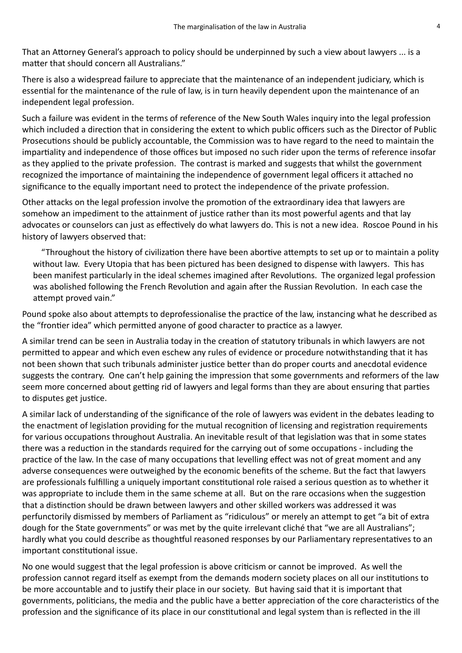That an Attorney General's approach to policy should be underpinned by such a view about lawyers ... is a matter that should concern all Australians."

There is also a widespread failure to appreciate that the maintenance of an independent judiciary, which is essential for the maintenance of the rule of law, is in turn heavily dependent upon the maintenance of an independent legal profession.

Such a failure was evident in the terms of reference of the New South Wales inquiry into the legal profession which included a direction that in considering the extent to which public officers such as the Director of Public Prosecutions should be publicly accountable, the Commission was to have regard to the need to maintain the impartiality and independence of those offices but imposed no such rider upon the terms of reference insofar as they applied to the private profession. The contrast is marked and suggests that whilst the government recognized the importance of maintaining the independence of government legal officers it attached no significance to the equally important need to protect the independence of the private profession.

Other attacks on the legal profession involve the promotion of the extraordinary idea that lawyers are somehow an impediment to the attainment of justice rather than its most powerful agents and that lay advocates or counselors can just as effectively do what lawyers do. This is not a new idea. Roscoe Pound in his history of lawyers observed that:

"Throughout the history of civilization there have been abortive attempts to set up or to maintain a polity without law. Every Utopia that has been pictured has been designed to dispense with lawyers. This has been manifest particularly in the ideal schemes imagined after Revolutions. The organized legal profession was abolished following the French Revolution and again after the Russian Revolution. In each case the attempt proved vain."

Pound spoke also about attempts to deprofessionalise the practice of the law, instancing what he described as the "frontier idea" which permitted anyone of good character to practice as a lawyer.

A similar trend can be seen in Australia today in the creation of statutory tribunals in which lawyers are not permitted to appear and which even eschew any rules of evidence or procedure notwithstanding that it has not been shown that such tribunals administer justice better than do proper courts and anecdotal evidence suggests the contrary. One can't help gaining the impression that some governments and reformers of the law seem more concerned about getting rid of lawyers and legal forms than they are about ensuring that parties to disputes get justice.

A similar lack of understanding of the significance of the role of lawyers was evident in the debates leading to the enactment of legislation providing for the mutual recognition of licensing and registration requirements for various occupations throughout Australia. An inevitable result of that legislation was that in some states there was a reduction in the standards required for the carrying out of some occupations - including the practice of the law. In the case of many occupations that levelling effect was not of great moment and any adverse consequences were outweighed by the economic benefits of the scheme. But the fact that lawyers are professionals fulfilling a uniquely important constitutional role raised a serious question as to whether it was appropriate to include them in the same scheme at all. But on the rare occasions when the suggestion that a distinction should be drawn between lawyers and other skilled workers was addressed it was perfunctorily dismissed by members of Parliament as "ridiculous" or merely an attempt to get "a bit of extra dough for the State governments" or was met by the quite irrelevant cliché that "we are all Australians"; hardly what you could describe as thoughtful reasoned responses by our Parliamentary representatives to an important constitutional issue.

No one would suggest that the legal profession is above criticism or cannot be improved. As well the profession cannot regard itself as exempt from the demands modern society places on all our institutions to be more accountable and to justify their place in our society. But having said that it is important that governments, politicians, the media and the public have a better appreciation of the core characteristics of the profession and the significance of its place in our constitutional and legal system than is reflected in the ill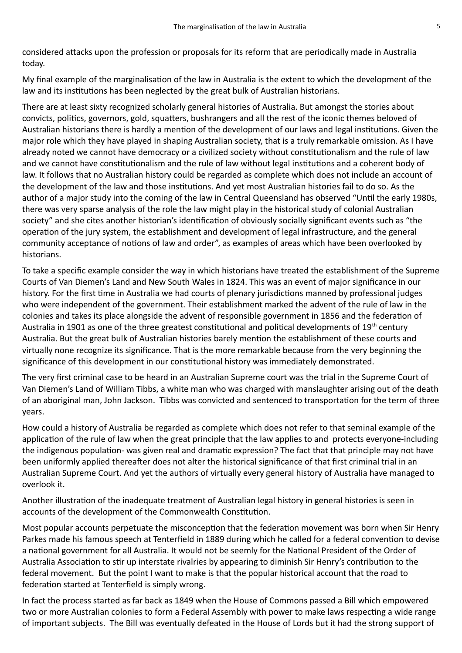considered attacks upon the profession or proposals for its reform that are periodically made in Australia today.

My final example of the marginalisation of the law in Australia is the extent to which the development of the law and its institutions has been neglected by the great bulk of Australian historians.

There are at least sixty recognized scholarly general histories of Australia. But amongst the stories about convicts, politics, governors, gold, squatters, bushrangers and all the rest of the iconic themes beloved of Australian historians there is hardly a mention of the development of our laws and legal institutions. Given the major role which they have played in shaping Australian society, that is a truly remarkable omission. As I have already noted we cannot have democracy or a civilized society without constitutionalism and the rule of law and we cannot have constitutionalism and the rule of law without legal institutions and a coherent body of law. It follows that no Australian history could be regarded as complete which does not include an account of the development of the law and those institutions. And yet most Australian histories fail to do so. As the author of a major study into the coming of the law in Central Queensland has observed "Until the early 1980s, there was very sparse analysis of the role the law might play in the historical study of colonial Australian society" and she cites another historian's identification of obviously socially significant events such as "the operation of the jury system, the establishment and development of legal infrastructure, and the general community acceptance of notions of law and order", as examples of areas which have been overlooked by historians.

To take a specific example consider the way in which historians have treated the establishment of the Supreme Courts of Van Diemen's Land and New South Wales in 1824. This was an event of major significance in our history. For the first time in Australia we had courts of plenary jurisdictions manned by professional judges who were independent of the government. Their establishment marked the advent of the rule of law in the colonies and takes its place alongside the advent of responsible government in 1856 and the federation of Australia in 1901 as one of the three greatest constitutional and political developments of 19<sup>th</sup> century Australia. But the great bulk of Australian histories barely mention the establishment of these courts and virtually none recognize its significance. That is the more remarkable because from the very beginning the significance of this development in our constitutional history was immediately demonstrated.

The very first criminal case to be heard in an Australian Supreme court was the trial in the Supreme Court of Van Diemen's Land of William Tibbs, a white man who was charged with manslaughter arising out of the death of an aboriginal man, John Jackson. Tibbs was convicted and sentenced to transportation for the term of three years.

How could a history of Australia be regarded as complete which does not refer to that seminal example of the application of the rule of law when the great principle that the law applies to and protects everyone-including the indigenous population- was given real and dramatic expression? The fact that that principle may not have been uniformly applied thereafter does not alter the historical significance of that first criminal trial in an Australian Supreme Court. And yet the authors of virtually every general history of Australia have managed to overlook it.

Another illustration of the inadequate treatment of Australian legal history in general histories is seen in accounts of the development of the Commonwealth Constitution.

Most popular accounts perpetuate the misconception that the federation movement was born when Sir Henry Parkes made his famous speech at Tenterfield in 1889 during which he called for a federal convention to devise a national government for all Australia. It would not be seemly for the National President of the Order of Australia Association to stir up interstate rivalries by appearing to diminish Sir Henry's contribution to the federal movement. But the point I want to make is that the popular historical account that the road to federation started at Tenterfield is simply wrong.

In fact the process started as far back as 1849 when the House of Commons passed a Bill which empowered two or more Australian colonies to form a Federal Assembly with power to make laws respecting a wide range of important subjects. The Bill was eventually defeated in the House of Lords but it had the strong support of